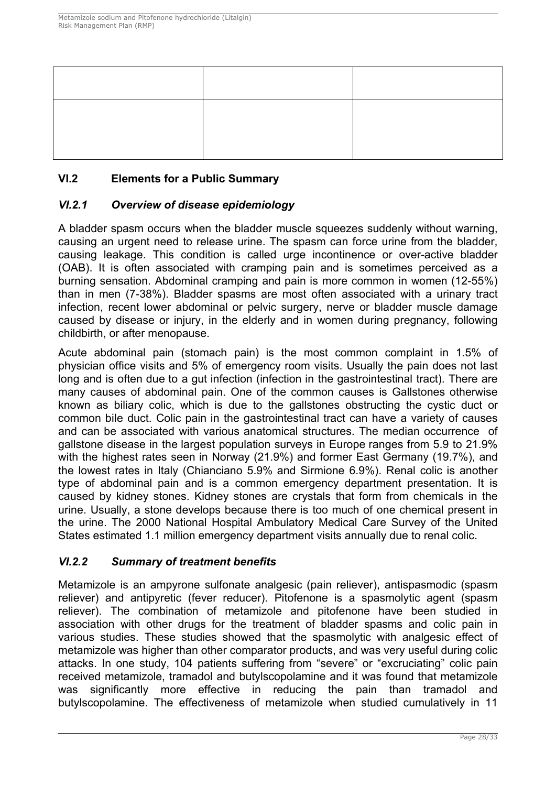# **VI.2 Elements for a Public Summary**

# *VI.2.1 Overview of disease epidemiology*

A bladder spasm occurs when the bladder muscle squeezes suddenly without warning, causing an urgent need to release urine. The spasm can force urine from the bladder, causing leakage. This condition is called urge incontinence or over-active bladder (OAB). It is often associated with cramping pain and is sometimes perceived as a burning sensation. Abdominal cramping and pain is more common in women (12-55%) than in men (7-38%). Bladder spasms are most often associated with a urinary tract infection, recent lower abdominal or pelvic surgery, nerve or bladder muscle damage caused by disease or injury, in the elderly and in women during pregnancy, following childbirth, or after menopause.

Acute abdominal pain (stomach pain) is the most common complaint in 1.5% of physician office visits and 5% of emergency room visits. Usually the pain does not last long and is often due to a gut infection (infection in the gastrointestinal tract). There are many causes of abdominal pain. One of the common causes is Gallstones otherwise known as biliary colic, which is due to the gallstones obstructing the cystic duct or common bile duct. Colic pain in the gastrointestinal tract can have a variety of causes and can be associated with various anatomical structures. The median occurrence of gallstone disease in the largest population surveys in Europe ranges from 5.9 to 21.9% with the highest rates seen in Norway (21.9%) and former East Germany (19.7%), and the lowest rates in Italy (Chianciano 5.9% and Sirmione 6.9%). Renal colic is another type of abdominal pain and is a common emergency department presentation. It is caused by kidney stones. Kidney stones are crystals that form from chemicals in the urine. Usually, a stone develops because there is too much of one chemical present in the urine. The 2000 National Hospital Ambulatory Medical Care Survey of the United States estimated 1.1 million emergency department visits annually due to renal colic.

# *VI.2.2 Summary of treatment benefits*

Metamizole is an ampyrone sulfonate analgesic (pain reliever), antispasmodic (spasm reliever) and antipyretic (fever reducer). Pitofenone is a spasmolytic agent (spasm reliever). The combination of metamizole and pitofenone have been studied in association with other drugs for the treatment of bladder spasms and colic pain in various studies. These studies showed that the spasmolytic with analgesic effect of metamizole was higher than other comparator products, and was very useful during colic attacks. In one study, 104 patients suffering from "severe" or "excruciating" colic pain received metamizole, tramadol and butylscopolamine and it was found that metamizole was significantly more effective in reducing the pain than tramadol and butylscopolamine. The effectiveness of metamizole when studied cumulatively in 11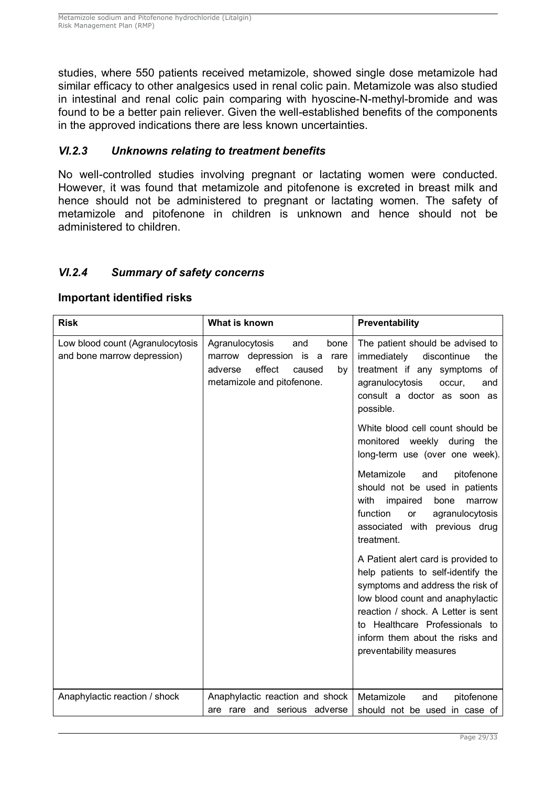studies, where 550 patients received metamizole, showed single dose metamizole had similar efficacy to other analgesics used in renal colic pain. Metamizole was also studied in intestinal and renal colic pain comparing with hyoscine-N-methyl-bromide and was found to be a better pain reliever. Given the well-established benefits of the components in the approved indications there are less known uncertainties.

## *VI.2.3 Unknowns relating to treatment benefits*

No well-controlled studies involving pregnant or lactating women were conducted. However, it was found that metamizole and pitofenone is excreted in breast milk and hence should not be administered to pregnant or lactating women. The safety of metamizole and pitofenone in children is unknown and hence should not be administered to children.

### *VI.2.4 Summary of safety concerns*

#### **Important identified risks**

| <b>Risk</b>                                                                                                                                                                                            | What is known                                                   | Preventability                                                                                                                                                                                                                                                                          |
|--------------------------------------------------------------------------------------------------------------------------------------------------------------------------------------------------------|-----------------------------------------------------------------|-----------------------------------------------------------------------------------------------------------------------------------------------------------------------------------------------------------------------------------------------------------------------------------------|
| Low blood count (Agranulocytosis<br>Agranulocytosis<br>and<br>bone<br>and bone marrow depression)<br>marrow depression is a<br>rare<br>effect<br>adverse<br>caused<br>by<br>metamizole and pitofenone. |                                                                 | The patient should be advised to<br>immediately<br>discontinue<br>the<br>treatment if any symptoms of<br>agranulocytosis<br>occur,<br>and<br>consult a doctor as soon as<br>possible.                                                                                                   |
|                                                                                                                                                                                                        |                                                                 | White blood cell count should be<br>monitored weekly during the<br>long-term use (over one week).                                                                                                                                                                                       |
|                                                                                                                                                                                                        |                                                                 | Metamizole<br>and<br>pitofenone<br>should not be used in patients<br>with<br>impaired<br>bone<br>marrow<br>function<br>agranulocytosis<br>or<br>associated with previous drug<br>treatment.                                                                                             |
|                                                                                                                                                                                                        |                                                                 | A Patient alert card is provided to<br>help patients to self-identify the<br>symptoms and address the risk of<br>low blood count and anaphylactic<br>reaction / shock. A Letter is sent<br>to Healthcare Professionals to<br>inform them about the risks and<br>preventability measures |
| Anaphylactic reaction / shock                                                                                                                                                                          | Anaphylactic reaction and shock<br>are rare and serious adverse | Metamizole<br>pitofenone<br>and<br>should not be used in case of                                                                                                                                                                                                                        |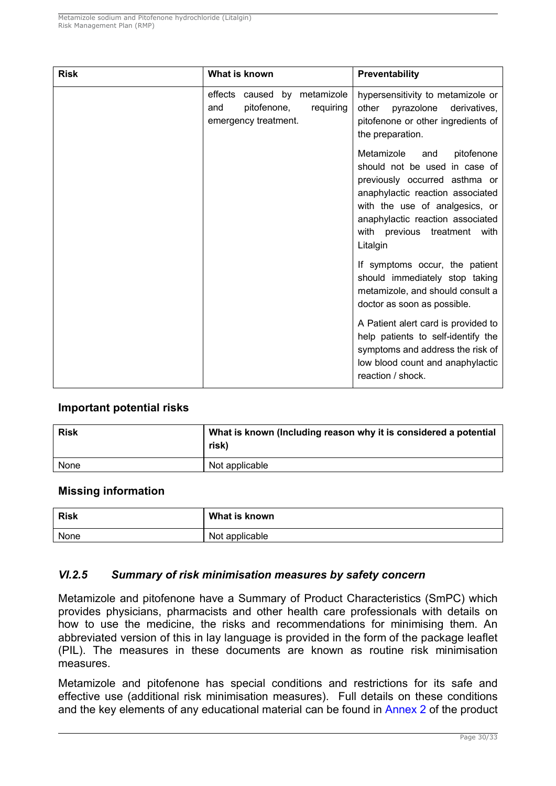| <b>Risk</b> | What is known                                                                           | Preventability                                                                                                                                                                                                                                          |  |
|-------------|-----------------------------------------------------------------------------------------|---------------------------------------------------------------------------------------------------------------------------------------------------------------------------------------------------------------------------------------------------------|--|
|             | effects caused by metamizole<br>pitofenone,<br>requiring<br>and<br>emergency treatment. | hypersensitivity to metamizole or<br>other<br>pyrazolone<br>derivatives,<br>pitofenone or other ingredients of<br>the preparation.                                                                                                                      |  |
|             |                                                                                         | Metamizole<br>pitofenone<br>and<br>should not be used in case of<br>previously occurred asthma or<br>anaphylactic reaction associated<br>with the use of analgesics, or<br>anaphylactic reaction associated<br>with previous treatment with<br>Litalgin |  |
|             |                                                                                         | If symptoms occur, the patient<br>should immediately stop taking<br>metamizole, and should consult a<br>doctor as soon as possible.                                                                                                                     |  |
|             |                                                                                         | A Patient alert card is provided to<br>help patients to self-identify the<br>symptoms and address the risk of<br>low blood count and anaphylactic<br>reaction / shock.                                                                                  |  |

### **Important potential risks**

| <b>Risk</b> | What is known (Including reason why it is considered a potential<br>risk) |
|-------------|---------------------------------------------------------------------------|
| None        | Not applicable                                                            |

#### **Missing information**

| <b>Risk</b> | What is known  |
|-------------|----------------|
| None        | Not applicable |

### *VI.2.5 Summary of risk minimisation measures by safety concern*

Metamizole and pitofenone have a Summary of Product Characteristics (SmPC) which provides physicians, pharmacists and other health care professionals with details on how to use the medicine, the risks and recommendations for minimising them. An abbreviated version of this in lay language is provided in the form of the package leaflet (PIL). The measures in these documents are known as routine risk minimisation measures.

Metamizole and pitofenone has special conditions and restrictions for its safe and effective use (additional risk minimisation measures). Full details on these conditions and the key elements of any educational material can be found in [Annex 2](#page--1-0) of the product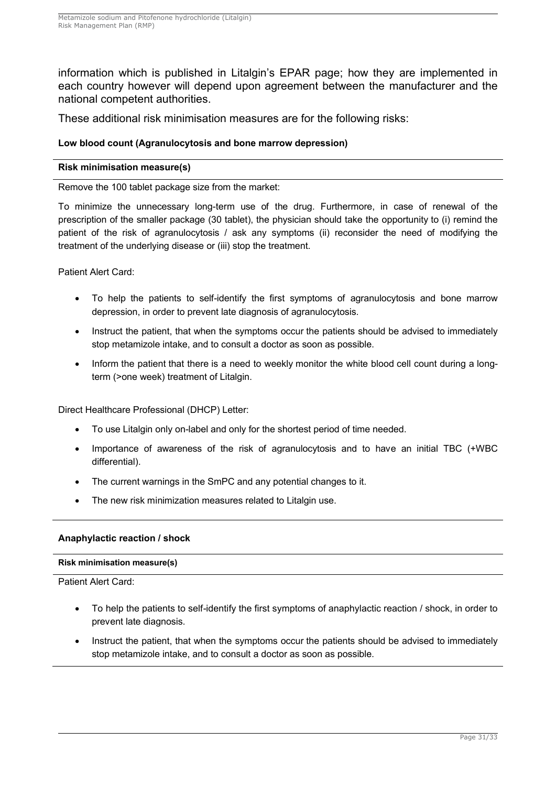information which is published in Litalgin's EPAR page; how they are implemented in each country however will depend upon agreement between the manufacturer and the national competent authorities.

These additional risk minimisation measures are for the following risks:

#### **Low blood count (Agranulocytosis and bone marrow depression)**

#### **Risk minimisation measure(s)**

Remove the 100 tablet package size from the market:

To minimize the unnecessary long-term use of the drug. Furthermore, in case of renewal of the prescription of the smaller package (30 tablet), the physician should take the opportunity to (i) remind the patient of the risk of agranulocytosis / ask any symptoms (ii) reconsider the need of modifying the treatment of the underlying disease or (iii) stop the treatment.

Patient Alert Card:

- To help the patients to self-identify the first symptoms of agranulocytosis and bone marrow depression, in order to prevent late diagnosis of agranulocytosis.
- Instruct the patient, that when the symptoms occur the patients should be advised to immediately stop metamizole intake, and to consult a doctor as soon as possible.
- Inform the patient that there is a need to weekly monitor the white blood cell count during a longterm (>one week) treatment of Litalgin.

Direct Healthcare Professional (DHCP) Letter:

- To use Litalgin only on-label and only for the shortest period of time needed.
- Importance of awareness of the risk of agranulocytosis and to have an initial TBC (+WBC differential).
- The current warnings in the SmPC and any potential changes to it.
- The new risk minimization measures related to Litalgin use.

#### **Anaphylactic reaction / shock**

#### **Risk minimisation measure(s)**

Patient Alert Card:

- To help the patients to self-identify the first symptoms of anaphylactic reaction / shock, in order to prevent late diagnosis.
- Instruct the patient, that when the symptoms occur the patients should be advised to immediately stop metamizole intake, and to consult a doctor as soon as possible.